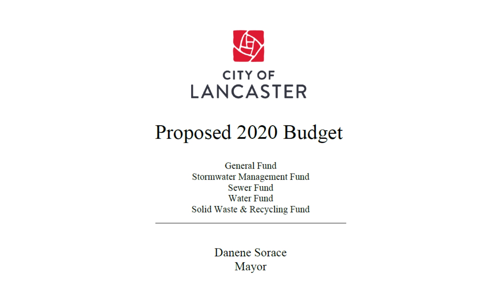

# Proposed 2020 Budget

**General Fund** Stormwater Management Fund **Sewer Fund Water Fund** Solid Waste & Recycling Fund

> Danene Sorace Mayor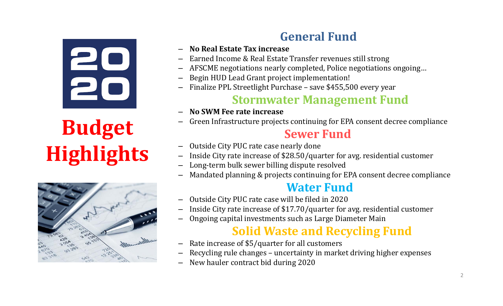# 20

# **Budget Highlights**



### **General Fund**

- **No Real Estate Tax increase**
- Earned Income & Real Estate Transfer revenues still strong
- AFSCME negotiations nearly completed, Police negotiations ongoing…
- Begin HUD Lead Grant project implementation!
- Finalize PPL Streetlight Purchase save \$455,500 every year

### **Stormwater Management Fund**

- **No SWM Fee rate increase**
- Green Infrastructure projects continuing for EPA consent decree compliance

### **Sewer Fund**

- Outside City PUC rate case nearly done
- Inside City rate increase of \$28.50/quarter for avg. residential customer
- Long-term bulk sewer billing dispute resolved
- Mandated planning & projects continuing for EPA consent decree compliance

### **Water Fund**

- Outside City PUC rate case will be filed in 2020
- Inside City rate increase of \$17.70/quarter for avg. residential customer
- Ongoing capital investments such as Large Diameter Main

### **Solid Waste and Recycling Fund**

- Rate increase of \$5/quarter for all customers
- –Recycling rule changes – uncertainty in market driving higher expenses
- New hauler contract bid during 2020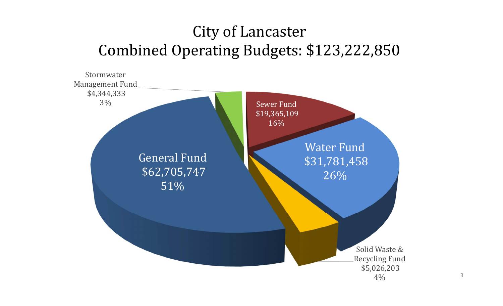### City of Lancaster Combined Operating Budgets: \$123,222,850

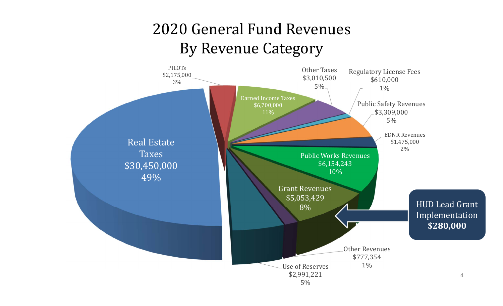### 2020 General Fund RevenuesBy Revenue Category

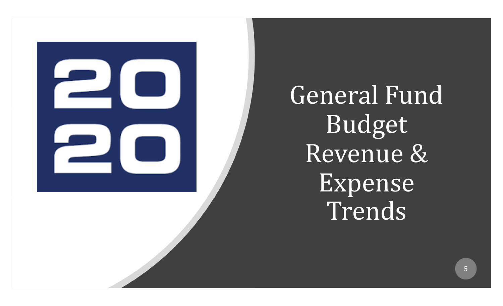

General Fund Budget Revenue & Expense Trends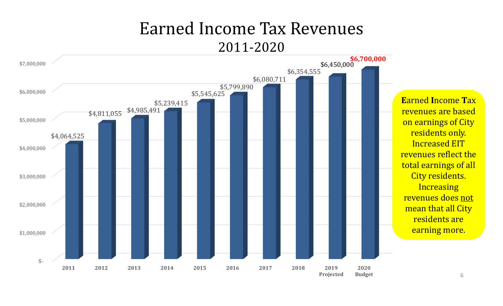### Earned Income Tax Revenues2011-2020

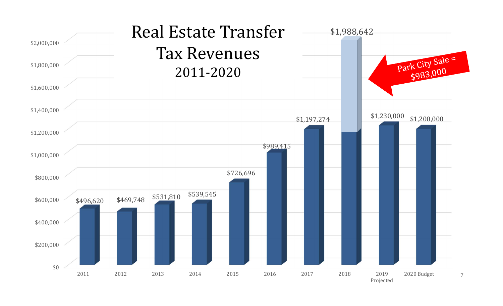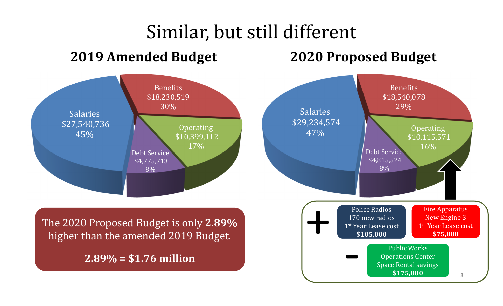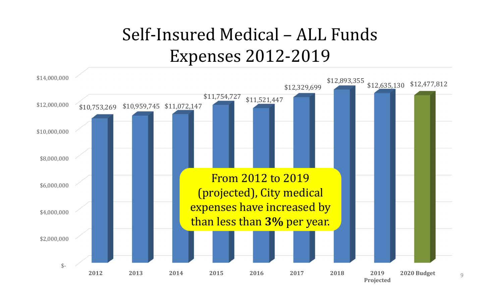# Self-Insured Medical – ALL Funds Expenses 2012-2019

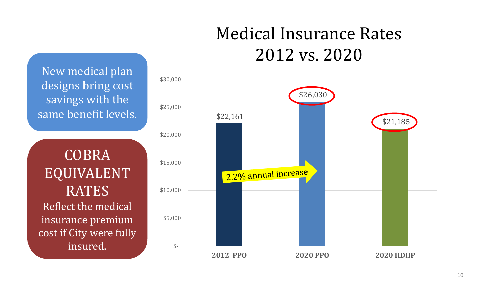# Medical Insurance Rates2012 vs. 2020

 \$30,000 \$26,030 \$25,000 \$22,161 \$21,185 \$20,000 \$15,000 2.2% annual increase \$10,000 \$5,000  $\hat{\mathcal{S}}$ **2012PPO 2020 PPO 2020 HDHP**

New medical plan designs bring cost savings with the same benefit levels.

COBRA EQUIVALENT RATES Reflect the medical insurance premium cost if City were fully insured.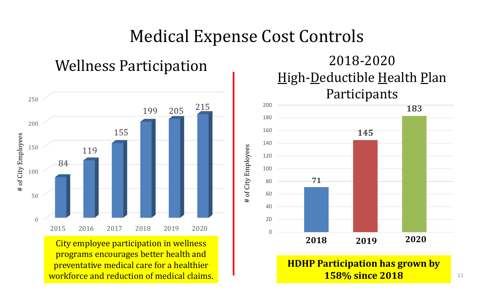### Medical Expense Cost Controls

# of City Employees

 $\pm$ 

of City Employees



City employee participation in wellness programs encourages better health and preventative medical care for a healthier workforce and reduction of medical claims.

# Wellness Participation<br>
High-<u>D</u>eductible Health Plan Participants



### **HDHP Participation has grown by 158% since 2018**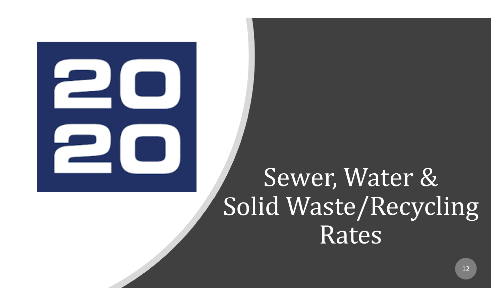# Sewer, Water & Solid Waste/Recycling Rates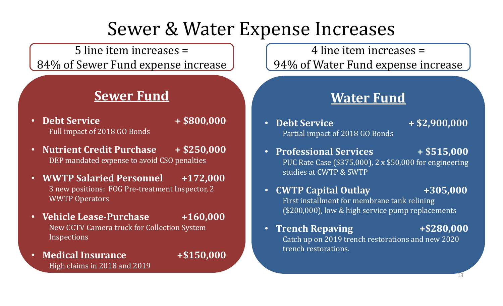# Sewer & Water Expense Increases

5 line item increases = 84% of Sewer Fund expense increase

### **Sewer Fund**

- **Debt Service <sup>+</sup> \$800,000** Full impact of 2018 GO Bonds
- **Nutrient Credit Purchase <sup>+</sup> \$250,000** DEP mandated expense to avoid CSO penalties
- **WWTP Salaried Personnel +172,000** 3 new positions: FOG Pre-treatment Inspector, 2 WWTP Operators
- **Vehicle Lease ‐Purchase +160,000** New CCTV Camera truck for Collection System Inspections
- • **Medical Insurance +\$150,000** High claims in 2018 and 2019

4 line item increases = 94% of Water Fund expense increase

### **Water Fund**

- • **Debt Service <sup>+</sup> \$2,900,000** Partial impact of 2018 GO Bonds
- • **Professional Services <sup>+</sup> \$515,000** PUC Rate Case (\$375,000), 2 x \$50,000 for engineering studies at CWTP & SWTP
- •**CWTP Capital Outlay +305,000**

First installment for membrane tank relining (\$200,000), low & high service pump replacements

•**Trench Repaving +\$280,000**

Catch up on 2019 trench restorations and new 2020 trench restorations.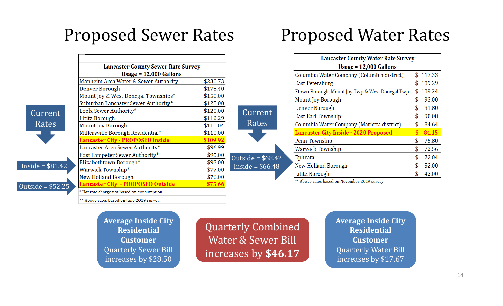### Proposed Sewer Rates

|                    |                                                                            | <b>Lancaster County Sewer Rate Survey</b> |  |  |  |  |
|--------------------|----------------------------------------------------------------------------|-------------------------------------------|--|--|--|--|
|                    | Usage = $12,000$ Gallons                                                   |                                           |  |  |  |  |
|                    | Manheim Area Water & Sewer Authority                                       | \$230.73                                  |  |  |  |  |
|                    | Denver Borough                                                             | \$178.40                                  |  |  |  |  |
|                    | Mount Joy & West Donegal Townships*                                        | \$150.00                                  |  |  |  |  |
|                    | Suburban Lancaster Sewer Authority*                                        | \$125.00                                  |  |  |  |  |
| Current            | Leola Sewer Authority*                                                     | \$120.00                                  |  |  |  |  |
|                    | Lititz Borough                                                             | \$112.29                                  |  |  |  |  |
|                    | Mount Joy Borough                                                          | \$110.04                                  |  |  |  |  |
|                    | Millersville Borough Residential*                                          | \$110.00                                  |  |  |  |  |
|                    | <b>Lancaster City - PROPOSED Inside</b>                                    | \$109.92                                  |  |  |  |  |
|                    | Rates<br>Lancaster Area Sewer Authority*<br>East Lampeter Sewer Authority* |                                           |  |  |  |  |
|                    |                                                                            | \$95.00                                   |  |  |  |  |
|                    | Elizabethtown Borough*                                                     | \$92.00                                   |  |  |  |  |
| Inside = $$81.42$  | Warwick Township*                                                          | \$77.00                                   |  |  |  |  |
|                    | <b>New Holland Borough</b>                                                 | \$76.00                                   |  |  |  |  |
| Outside = $$52.25$ | <b>Lancaster City - PROPOSED Outside</b>                                   | \$75.66                                   |  |  |  |  |
|                    | *Flat rate charge not based on consumption                                 |                                           |  |  |  |  |
|                    | ** Above rates based on June 2019 survey                                   |                                           |  |  |  |  |

### Proposed Water Rates

| <b>Lancaster County Water Rate Survey</b>        |    |        |  |  |  |
|--------------------------------------------------|----|--------|--|--|--|
| Usage $= 12,000$ Gallons                         |    |        |  |  |  |
| Columbia Water Company (Columbia district)       | \$ | 117.33 |  |  |  |
| East Petersburg                                  | S  | 109.29 |  |  |  |
| Etown Borough, Mount Joy Twp & West Donegal Twp. | \$ | 109.24 |  |  |  |
| Mount Joy Borough                                |    | 93.00  |  |  |  |
| Denver Borough                                   | \$ | 91.80  |  |  |  |
| <b>East Earl Township</b>                        | \$ | 90.08  |  |  |  |
| Columbia Water Company (Marietta district)       | S  | 84.64  |  |  |  |
| <b>Lancaster City Inside - 2020 Proposed</b>     |    | 84.15  |  |  |  |
| Penn Township                                    | \$ | 75.80  |  |  |  |
| Warwick Township                                 | \$ | 72.56  |  |  |  |
| Ephrata                                          | \$ | 72.04  |  |  |  |
| New Holland Borough                              | \$ | 52.00  |  |  |  |
| Lititz Borough                                   | \$ | 42.00  |  |  |  |
| ** Above rates based on November 2019 survey     |    |        |  |  |  |

**Average Inside City ResidentialCustomer**Quarterly Sewer Bill increases by \$28.50

Quarterly Combined Water & Sewer Bill increases by **\$46.17**

Current

Rates

Outside =  $$68.42$  $Inside = $66.48$ 

> **Average Inside City ResidentialCustomer**Quarterly Water Bill increases by \$17.67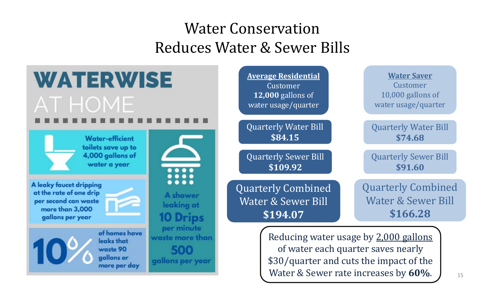### Water ConservationReduces Water & Sewer Bills

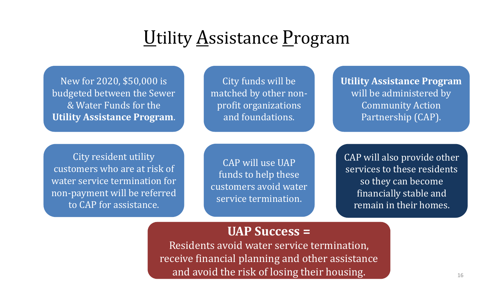# Utility Assistance Program

New for 2020, \$50,000 is budgeted between the Sewer & Water Funds for the **Utility Assistance Program**.

City funds will be matched by other nonprofit organizations and foundations.

**Utility Assistance Program** will be administered by Community Action Partnership (CAP).

City resident utility customers who are at risk of water service termination for non-payment will be referred to CAP for assistance.

CAP will use UAP funds to help these customers avoid water service termination.

CAP will also provide other services to these residents so they can become financially stable and remain in their homes.

### **UAP Success <sup>=</sup>**

Residents avoid water service termination, receive financial planning and other assistance and avoid the risk of losing their housing.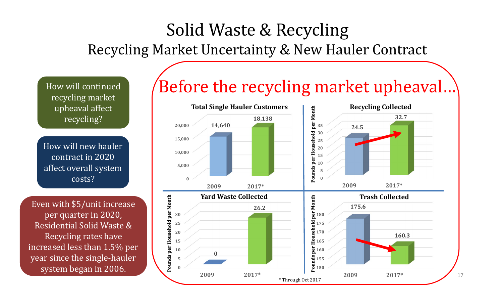### Solid Waste & Recycling Recycling Market Uncertainty & New Hauler Contract

upheaval affect recycling?

How will new hauler contract in 2020 affect overall system costs?

Even with \$5/unit increase per quarter in 2020, Residential Solid Waste & Recycling rates have increased less than 1.5% per year since the single-hauler system began in 2006.

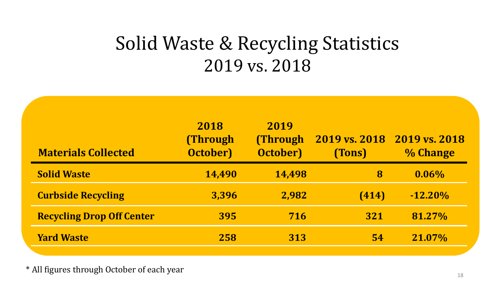# Solid Waste & Recycling Statistics 2019 vs. 2018

| <b>Materials Collected</b>       | 2018<br><b>(Through)</b><br><b>October</b> ) | 2019<br><b>(Through)</b><br><b>October</b> ) | 2019 vs. 2018 2019 vs. 2018<br>(Tons) | % Change   |
|----------------------------------|----------------------------------------------|----------------------------------------------|---------------------------------------|------------|
| <b>Solid Waste</b>               | 14,490                                       | 14,498                                       | 8                                     | $0.06\%$   |
| <b>Curbside Recycling</b>        | 3,396                                        | 2,982                                        | (414)                                 | $-12.20\%$ |
| <b>Recycling Drop Off Center</b> | 395                                          | 716                                          | 321                                   | 81.27%     |
| <b>Yard Waste</b>                | 258                                          | 313                                          | <b>54</b>                             | 21.07%     |

\* All figures through October of each year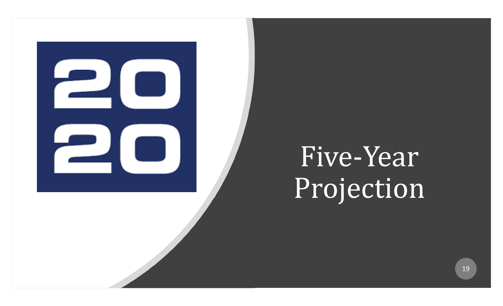

# Five-Year Projection